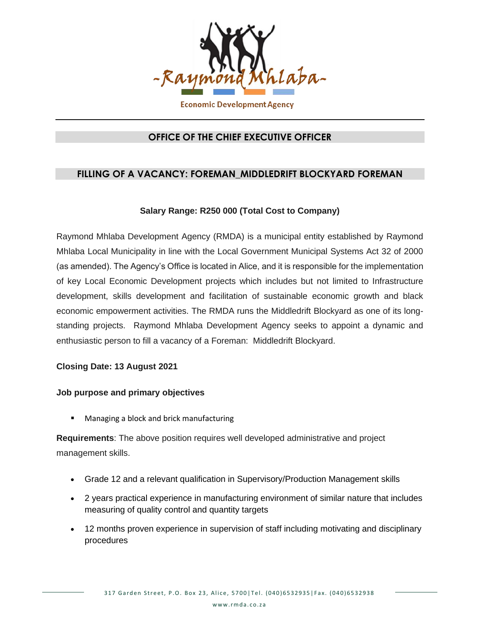

## **OFFICE OF THE CHIEF EXECUTIVE OFFICER**

# **FILLING OF A VACANCY: FOREMAN\_MIDDLEDRIFT BLOCKYARD FOREMAN**

### **Salary Range: R250 000 (Total Cost to Company)**

Raymond Mhlaba Development Agency (RMDA) is a municipal entity established by Raymond Mhlaba Local Municipality in line with the Local Government Municipal Systems Act 32 of 2000 (as amended). The Agency's Office is located in Alice, and it is responsible for the implementation of key Local Economic Development projects which includes but not limited to Infrastructure development, skills development and facilitation of sustainable economic growth and black economic empowerment activities. The RMDA runs the Middledrift Blockyard as one of its longstanding projects. Raymond Mhlaba Development Agency seeks to appoint a dynamic and enthusiastic person to fill a vacancy of a Foreman: Middledrift Blockyard.

#### **Closing Date: 13 August 2021**

#### **Job purpose and primary objectives**

Managing a block and brick manufacturing

**Requirements**: The above position requires well developed administrative and project management skills.

- Grade 12 and a relevant qualification in Supervisory/Production Management skills
- 2 years practical experience in manufacturing environment of similar nature that includes measuring of quality control and quantity targets
- 12 months proven experience in supervision of staff including motivating and disciplinary procedures